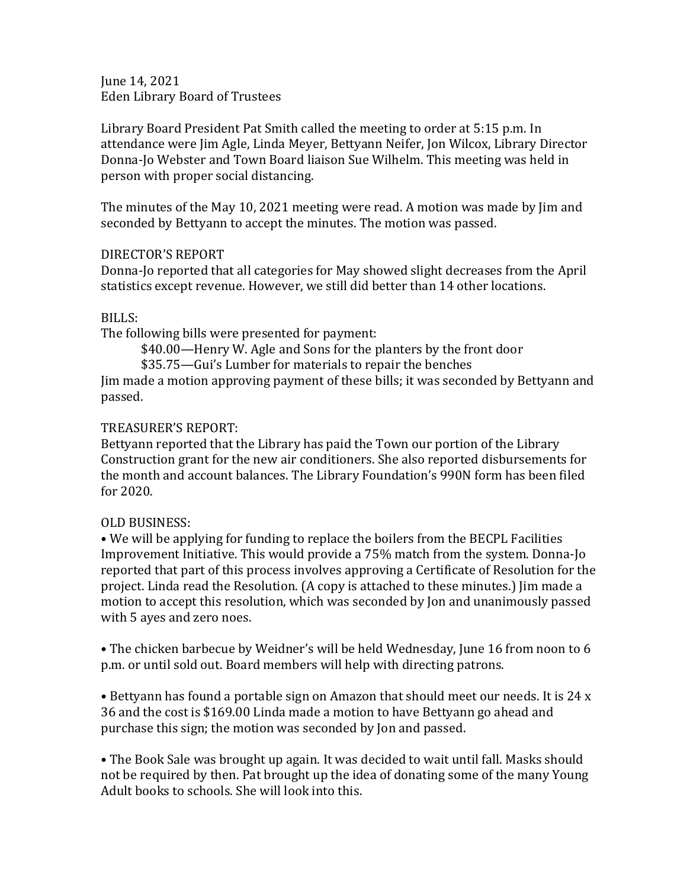June 14, 2021 Eden Library Board of Trustees

Library Board President Pat Smith called the meeting to order at 5:15 p.m. In attendance were Jim Agle, Linda Meyer, Bettyann Neifer, Jon Wilcox, Library Director Donna-Jo Webster and Town Board liaison Sue Wilhelm. This meeting was held in person with proper social distancing.

The minutes of the May 10, 2021 meeting were read. A motion was made by Jim and seconded by Bettyann to accept the minutes. The motion was passed.

## DIRECTOR'S REPORT

Donna-Jo reported that all categories for May showed slight decreases from the April statistics except revenue. However, we still did better than 14 other locations.

## BILLS:

The following bills were presented for payment:

\$40.00—Henry W. Agle and Sons for the planters by the front door

\$35.75—Gui's Lumber for materials to repair the benches

Jim made a motion approving payment of these bills; it was seconded by Bettyann and passed.

## TREASURER'S REPORT:

Bettyann reported that the Library has paid the Town our portion of the Library Construction grant for the new air conditioners. She also reported disbursements for the month and account balances. The Library Foundation's 990N form has been filed for 2020.

## OLD BUSINESS:

• We will be applying for funding to replace the boilers from the BECPL Facilities Improvement Initiative. This would provide a 75% match from the system. Donna-Jo reported that part of this process involves approving a Certificate of Resolution for the project. Linda read the Resolution. (A copy is attached to these minutes.) Jim made a motion to accept this resolution, which was seconded by Jon and unanimously passed with 5 ayes and zero noes.

• The chicken barbecue by Weidner's will be held Wednesday, June 16 from noon to 6 p.m. or until sold out. Board members will help with directing patrons.

• Bettyann has found a portable sign on Amazon that should meet our needs. It is 24 x 36 and the cost is \$169.00 Linda made a motion to have Bettyann go ahead and purchase this sign; the motion was seconded by Jon and passed.

• The Book Sale was brought up again. It was decided to wait until fall. Masks should not be required by then. Pat brought up the idea of donating some of the many Young Adult books to schools. She will look into this.